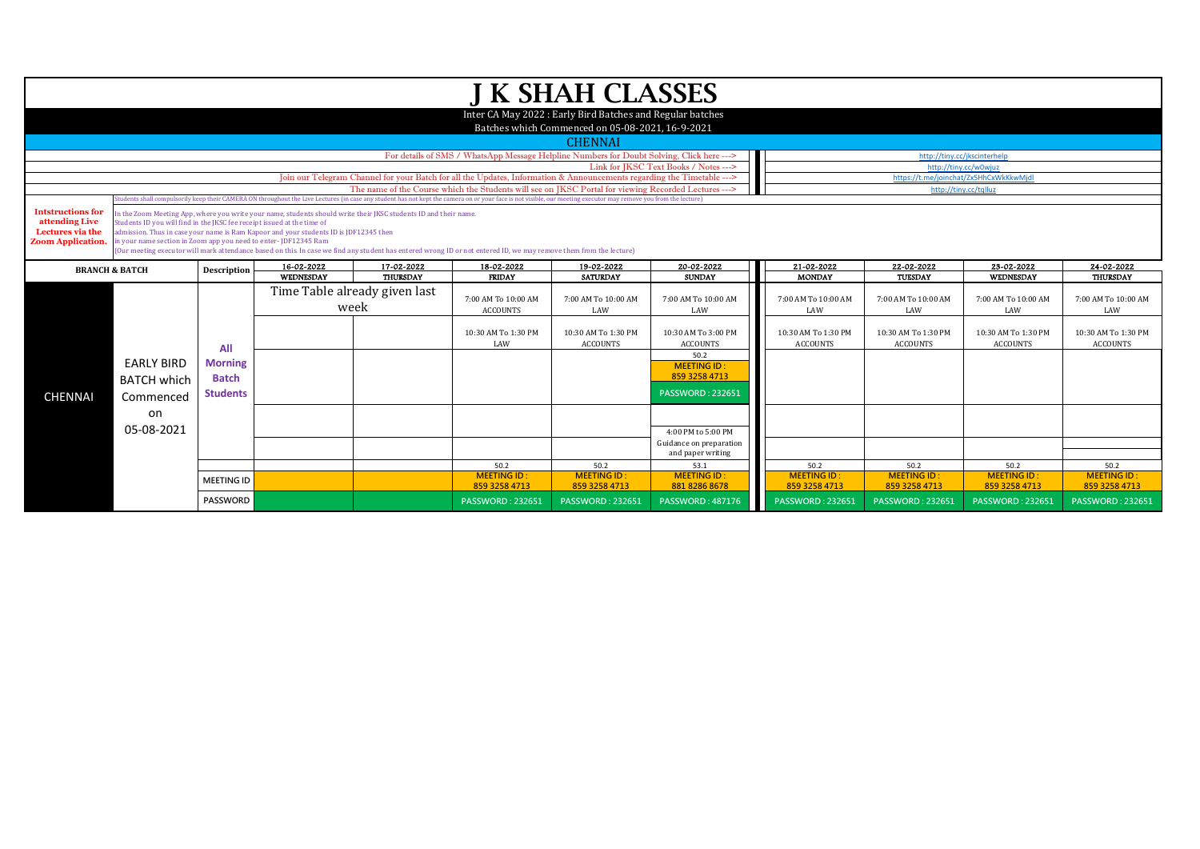|                                                                                            |                                                                                                                                             |                   |                                                                                                                                                                                                           |                                       |                                                                                                                                                                                                                                | <b>J K SHAH CLASSES</b>                                                                                        |                                              |
|--------------------------------------------------------------------------------------------|---------------------------------------------------------------------------------------------------------------------------------------------|-------------------|-----------------------------------------------------------------------------------------------------------------------------------------------------------------------------------------------------------|---------------------------------------|--------------------------------------------------------------------------------------------------------------------------------------------------------------------------------------------------------------------------------|----------------------------------------------------------------------------------------------------------------|----------------------------------------------|
|                                                                                            |                                                                                                                                             |                   |                                                                                                                                                                                                           |                                       |                                                                                                                                                                                                                                | Inter CA May 2022 : Early Bird Batches and Regular batches<br>Batches which Commenced on 05-08-2021, 16-9-2021 |                                              |
|                                                                                            |                                                                                                                                             |                   |                                                                                                                                                                                                           |                                       |                                                                                                                                                                                                                                | <b>CHENNAI</b>                                                                                                 |                                              |
|                                                                                            |                                                                                                                                             |                   |                                                                                                                                                                                                           |                                       | For details of SMS / WhatsApp Message Helpline Numbers for Doubt Solving, Click here --->                                                                                                                                      |                                                                                                                |                                              |
|                                                                                            |                                                                                                                                             |                   |                                                                                                                                                                                                           |                                       |                                                                                                                                                                                                                                |                                                                                                                | Link for JKSC Text Books / Notes --->        |
|                                                                                            |                                                                                                                                             |                   |                                                                                                                                                                                                           |                                       | Join our Telegram Channel for your Batch for all the Updates, Information & Announcements regarding the Timetable ---><br>The name of the Course which the Students will see on JKSC Portal for viewing Recorded Lectures ---> |                                                                                                                |                                              |
|                                                                                            |                                                                                                                                             |                   |                                                                                                                                                                                                           |                                       | itudents shall compulsorily keep their CAMERA ON throughout the Live Lectures (in case any student has not kept the camera on or your face is not visible, our meeting executor may remove you from the lecture)               |                                                                                                                |                                              |
| <b>Intstructions for</b><br>attending Live<br>Lectures via the<br><b>Zoom Application.</b> | Students ID you will find in the JKSC fee receipt issued at the time of<br>in your name section in Zoom app you need to enter- JDF12345 Ram |                   | In the Zoom Meeting App, where you write your name, students should write their JKSC students ID and their name.<br>admission. Thus in case your name is Ram Kapoor and your students ID is JDF12345 then |                                       |                                                                                                                                                                                                                                |                                                                                                                |                                              |
|                                                                                            |                                                                                                                                             |                   | 16-02-2022                                                                                                                                                                                                | 17-02-2022                            | (Our meeting executor will mark attendance based on this. In case we find any student has entered wrong ID or not entered ID, we may remove them from the lecture)<br>18-02-2022                                               | 19-02-2022                                                                                                     | 20-02-2022                                   |
|                                                                                            | <b>BRANCH &amp; BATCH</b>                                                                                                                   | Description       | WEDNESDAY                                                                                                                                                                                                 | <b>THURSDAY</b>                       | <b>FRIDAY</b>                                                                                                                                                                                                                  | <b>SATURDAY</b>                                                                                                | <b>SUNDAY</b>                                |
|                                                                                            |                                                                                                                                             |                   |                                                                                                                                                                                                           | Time Table already given last<br>week | 7:00 AM To 10:00 AM<br><b>ACCOUNTS</b>                                                                                                                                                                                         | 7:00 AM To 10:00 AM<br>LAW                                                                                     | 7:00 AM To 10:00 AM<br>LAW                   |
|                                                                                            |                                                                                                                                             | All               |                                                                                                                                                                                                           |                                       | 10:30 AM To 1:30 PM<br>LAW                                                                                                                                                                                                     | 10:30 AM To 1:30 PM<br><b>ACCOUNTS</b>                                                                         | 10:30 AM To 3:00 PM<br><b>ACCOUNTS</b>       |
|                                                                                            | <b>EARLY BIRD</b>                                                                                                                           | <b>Morning</b>    |                                                                                                                                                                                                           |                                       |                                                                                                                                                                                                                                |                                                                                                                | 50.2<br><b>MEETING ID:</b>                   |
|                                                                                            | <b>BATCH which</b>                                                                                                                          | <b>Batch</b>      |                                                                                                                                                                                                           |                                       |                                                                                                                                                                                                                                |                                                                                                                | 859 3258 4713                                |
| <b>CHENNAI</b>                                                                             |                                                                                                                                             | <b>Students</b>   |                                                                                                                                                                                                           |                                       |                                                                                                                                                                                                                                |                                                                                                                | <b>PASSWORD: 232651</b>                      |
|                                                                                            | Commenced                                                                                                                                   |                   |                                                                                                                                                                                                           |                                       |                                                                                                                                                                                                                                |                                                                                                                |                                              |
|                                                                                            | on                                                                                                                                          |                   |                                                                                                                                                                                                           |                                       |                                                                                                                                                                                                                                |                                                                                                                |                                              |
|                                                                                            | 05-08-2021                                                                                                                                  |                   |                                                                                                                                                                                                           |                                       |                                                                                                                                                                                                                                |                                                                                                                | 4:00 PM to 5:00 PM                           |
|                                                                                            |                                                                                                                                             |                   |                                                                                                                                                                                                           |                                       |                                                                                                                                                                                                                                |                                                                                                                | Guidance on preparation<br>and paper writing |
|                                                                                            |                                                                                                                                             |                   |                                                                                                                                                                                                           |                                       | 50.2                                                                                                                                                                                                                           | 50.2                                                                                                           | 53.1                                         |
|                                                                                            |                                                                                                                                             | <b>MEETING ID</b> |                                                                                                                                                                                                           |                                       | <b>MEETING ID:</b>                                                                                                                                                                                                             | <b>MEETING ID:</b>                                                                                             | <b>MEETING ID:</b>                           |
|                                                                                            |                                                                                                                                             |                   |                                                                                                                                                                                                           |                                       | 859 3258 4713                                                                                                                                                                                                                  | 859 3258 4713                                                                                                  | 881 8286 8678                                |
|                                                                                            |                                                                                                                                             | <b>PASSWORD</b>   |                                                                                                                                                                                                           |                                       | <b>PASSWORD: 232651</b>                                                                                                                                                                                                        | <b>PASSWORD: 232651</b>                                                                                        | <b>PASSWORD: 487176</b>                      |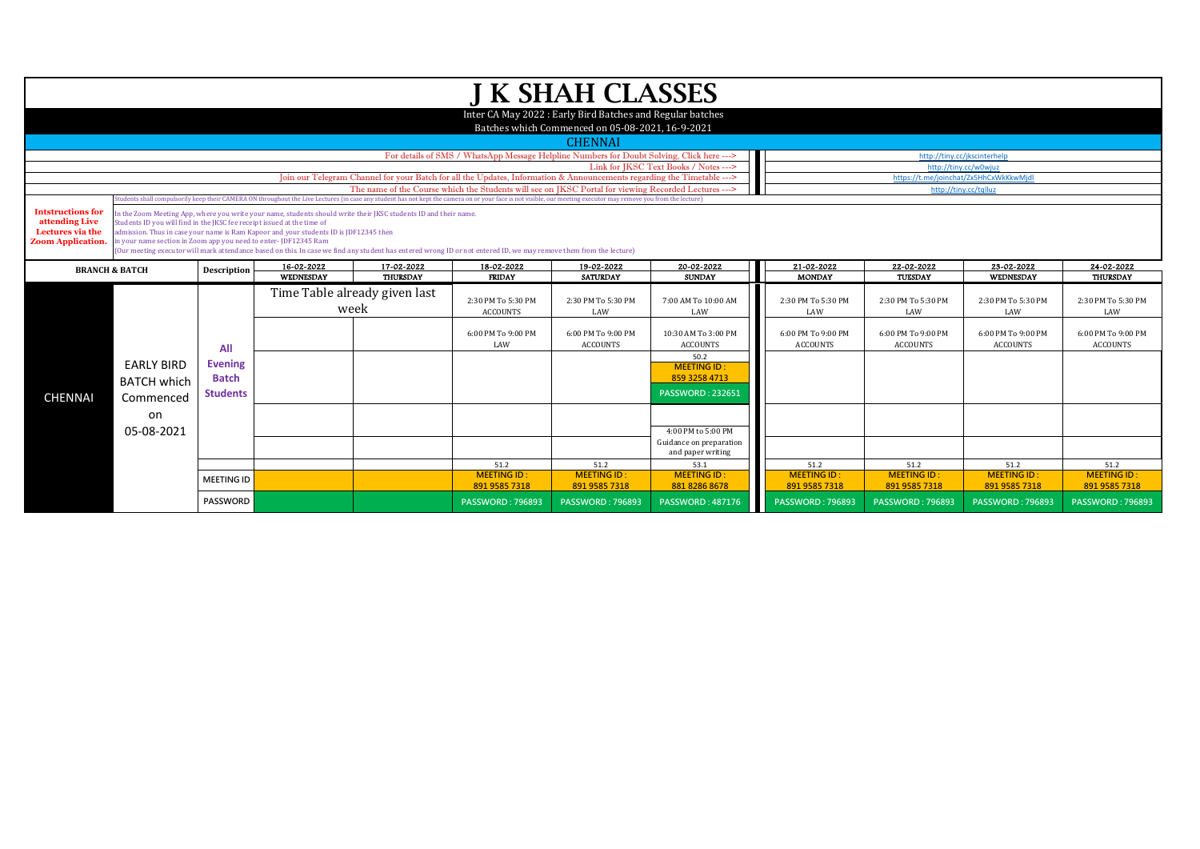|                                    |                                                                         |                   |                                                                                       |                                                                                                                  |                                                                                                                                                                                                                                 | <b>J K SHAH CLASSES</b>                                                                                        |                                       |
|------------------------------------|-------------------------------------------------------------------------|-------------------|---------------------------------------------------------------------------------------|------------------------------------------------------------------------------------------------------------------|---------------------------------------------------------------------------------------------------------------------------------------------------------------------------------------------------------------------------------|----------------------------------------------------------------------------------------------------------------|---------------------------------------|
|                                    |                                                                         |                   |                                                                                       |                                                                                                                  |                                                                                                                                                                                                                                 | Inter CA May 2022 : Early Bird Batches and Regular batches<br>Batches which Commenced on 05-08-2021, 16-9-2021 |                                       |
|                                    |                                                                         |                   |                                                                                       |                                                                                                                  |                                                                                                                                                                                                                                 | <b>CHENNAI</b>                                                                                                 |                                       |
|                                    |                                                                         |                   |                                                                                       |                                                                                                                  | For details of SMS / WhatsApp Message Helpline Numbers for Doubt Solving, Click here --->                                                                                                                                       |                                                                                                                |                                       |
|                                    |                                                                         |                   |                                                                                       |                                                                                                                  |                                                                                                                                                                                                                                 |                                                                                                                | Link for IKSC Text Books / Notes ---> |
|                                    |                                                                         |                   |                                                                                       |                                                                                                                  | Join our Telegram Channel for your Batch for all the Updates, Information & Announcements regarding the Timetable ---><br>The name of the Course which the Students will see on JKSC Portal for viewing Recorded Lectures --- > |                                                                                                                |                                       |
|                                    |                                                                         |                   |                                                                                       |                                                                                                                  | tudents shall compulsorily keep their CAMERA ON throughout the Live Lectures (in case any student has not kept the camera on or your face is not visible, our meeting executor may remove you from the lecture)                 |                                                                                                                |                                       |
| <b>Intstructions for</b>           |                                                                         |                   |                                                                                       | In the Zoom Meeting App, where you write your name, students should write their JKSC students ID and their name. |                                                                                                                                                                                                                                 |                                                                                                                |                                       |
| attending Live<br>Lectures via the | Students ID you will find in the IKSC fee receipt issued at the time of |                   | admission. Thus in case your name is Ram Kapoor and your students ID is JDF12345 then |                                                                                                                  |                                                                                                                                                                                                                                 |                                                                                                                |                                       |
| <b>Zoom Application.</b>           | in your name section in Zoom app you need to enter-JDF12345 Ram         |                   |                                                                                       |                                                                                                                  |                                                                                                                                                                                                                                 |                                                                                                                |                                       |
|                                    |                                                                         |                   |                                                                                       |                                                                                                                  | (Our meeting executor will mark attendance based on this. In case we find any student has entered wrong ID or not entered ID, we may remove them from the lecture)                                                              |                                                                                                                |                                       |
|                                    | <b>BRANCH &amp; BATCH</b>                                               | Description       | 16-02-2022                                                                            | 17-02-2022                                                                                                       | 18-02-2022                                                                                                                                                                                                                      | 19-02-2022                                                                                                     | 20-02-2022                            |
|                                    |                                                                         |                   | WEDNESDAY                                                                             | THURSDAY                                                                                                         | <b>FRIDAY</b>                                                                                                                                                                                                                   | <b>SATURDAY</b>                                                                                                | <b>SUNDAY</b>                         |
|                                    |                                                                         |                   |                                                                                       | Time Table already given last                                                                                    | 2:30 PM To 5:30 PM                                                                                                                                                                                                              | 2:30 PM To 5:30 PM                                                                                             | 7:00 AM To 10:00 AM                   |
|                                    |                                                                         |                   |                                                                                       | week                                                                                                             | <b>ACCOUNTS</b>                                                                                                                                                                                                                 | LAW                                                                                                            | LAW                                   |
|                                    |                                                                         |                   |                                                                                       |                                                                                                                  |                                                                                                                                                                                                                                 |                                                                                                                |                                       |
|                                    |                                                                         |                   |                                                                                       |                                                                                                                  | 6:00 PM To 9:00 PM                                                                                                                                                                                                              | 6:00 PM To 9:00 PM                                                                                             | 10:30 AM To 3:00 PM                   |
|                                    |                                                                         | All               |                                                                                       |                                                                                                                  | LAW                                                                                                                                                                                                                             | <b>ACCOUNTS</b>                                                                                                | <b>ACCOUNTS</b>                       |
|                                    | <b>EARLY BIRD</b>                                                       | <b>Evening</b>    |                                                                                       |                                                                                                                  |                                                                                                                                                                                                                                 |                                                                                                                | 50.2<br><b>MEETING ID:</b>            |
|                                    | <b>BATCH which</b>                                                      | <b>Batch</b>      |                                                                                       |                                                                                                                  |                                                                                                                                                                                                                                 |                                                                                                                | 859 3258 4713                         |
|                                    |                                                                         | <b>Students</b>   |                                                                                       |                                                                                                                  |                                                                                                                                                                                                                                 |                                                                                                                | <b>PASSWORD: 232651</b>               |
| <b>CHENNAI</b>                     | Commenced                                                               |                   |                                                                                       |                                                                                                                  |                                                                                                                                                                                                                                 |                                                                                                                |                                       |
|                                    | on                                                                      |                   |                                                                                       |                                                                                                                  |                                                                                                                                                                                                                                 |                                                                                                                |                                       |
|                                    | 05-08-2021                                                              |                   |                                                                                       |                                                                                                                  |                                                                                                                                                                                                                                 |                                                                                                                | 4:00 PM to 5:00 PM                    |
|                                    |                                                                         |                   |                                                                                       |                                                                                                                  |                                                                                                                                                                                                                                 |                                                                                                                | Guidance on preparation               |
|                                    |                                                                         |                   |                                                                                       |                                                                                                                  |                                                                                                                                                                                                                                 |                                                                                                                | and paper writing                     |
|                                    |                                                                         |                   |                                                                                       |                                                                                                                  | 51.2<br><b>MEETING ID:</b>                                                                                                                                                                                                      | 51.2<br><b>MEETING ID:</b>                                                                                     | 53.1<br><b>MEETING ID:</b>            |
|                                    |                                                                         | <b>MEETING ID</b> |                                                                                       |                                                                                                                  | 891 9585 7318                                                                                                                                                                                                                   | 891 9585 7318                                                                                                  | 881 8286 8678                         |
|                                    |                                                                         | <b>PASSWORD</b>   |                                                                                       |                                                                                                                  | <b>PASSWORD: 796893</b>                                                                                                                                                                                                         | <b>PASSWORD: 796893</b>                                                                                        | <b>PASSWORD: 487176</b>               |
|                                    |                                                                         |                   |                                                                                       |                                                                                                                  |                                                                                                                                                                                                                                 |                                                                                                                |                                       |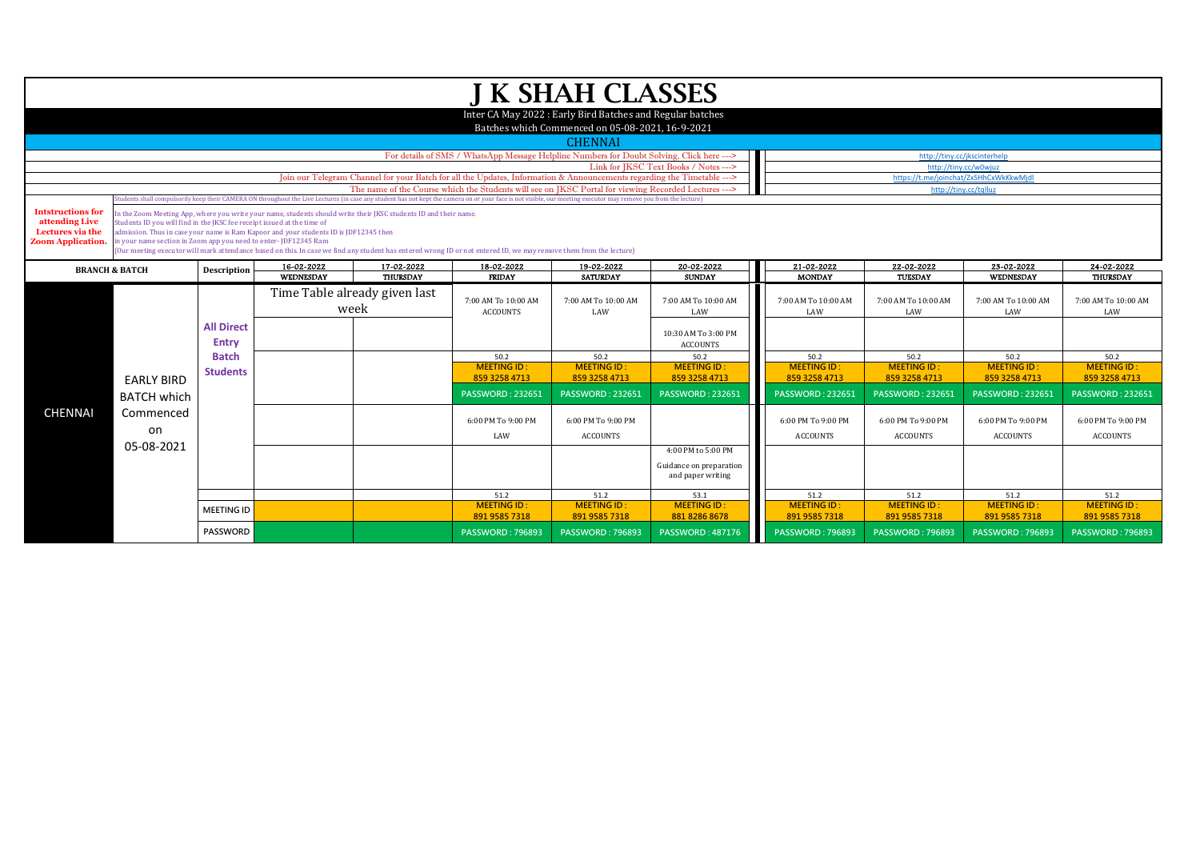|                                                                                            |                                                                                                                                                                                                                                                                                                                                                                                                                                                                                                                                                                                                                                                                                                                                                   |                            |            |                                       |                                                                                                                        | <b>J K SHAH CLASSES</b>                                                                                        |                                                                    |                                       |                                       |                                        |                                       |  |
|--------------------------------------------------------------------------------------------|---------------------------------------------------------------------------------------------------------------------------------------------------------------------------------------------------------------------------------------------------------------------------------------------------------------------------------------------------------------------------------------------------------------------------------------------------------------------------------------------------------------------------------------------------------------------------------------------------------------------------------------------------------------------------------------------------------------------------------------------------|----------------------------|------------|---------------------------------------|------------------------------------------------------------------------------------------------------------------------|----------------------------------------------------------------------------------------------------------------|--------------------------------------------------------------------|---------------------------------------|---------------------------------------|----------------------------------------|---------------------------------------|--|
|                                                                                            |                                                                                                                                                                                                                                                                                                                                                                                                                                                                                                                                                                                                                                                                                                                                                   |                            |            |                                       |                                                                                                                        | Inter CA May 2022 : Early Bird Batches and Regular batches<br>Batches which Commenced on 05-08-2021, 16-9-2021 |                                                                    |                                       |                                       |                                        |                                       |  |
|                                                                                            |                                                                                                                                                                                                                                                                                                                                                                                                                                                                                                                                                                                                                                                                                                                                                   |                            |            |                                       |                                                                                                                        | <b>CHENNAI</b>                                                                                                 |                                                                    |                                       |                                       |                                        |                                       |  |
|                                                                                            |                                                                                                                                                                                                                                                                                                                                                                                                                                                                                                                                                                                                                                                                                                                                                   |                            |            |                                       | For details of SMS / WhatsApp Message Helpline Numbers for Doubt Solving, Click here --->                              |                                                                                                                |                                                                    |                                       | http://tiny.cc/jkscinterhelp          |                                        |                                       |  |
|                                                                                            |                                                                                                                                                                                                                                                                                                                                                                                                                                                                                                                                                                                                                                                                                                                                                   |                            |            |                                       |                                                                                                                        |                                                                                                                | Link for JKSC Text Books / Notes --->                              |                                       | http://tiny.cc/w0wjuz                 |                                        |                                       |  |
|                                                                                            |                                                                                                                                                                                                                                                                                                                                                                                                                                                                                                                                                                                                                                                                                                                                                   |                            |            |                                       | Join our Telegram Channel for your Batch for all the Updates, Information & Announcements regarding the Timetable ---> |                                                                                                                |                                                                    |                                       |                                       | https://t.me/joinchat/Zx5HhCxWkKkwMjdl |                                       |  |
|                                                                                            |                                                                                                                                                                                                                                                                                                                                                                                                                                                                                                                                                                                                                                                                                                                                                   |                            |            |                                       | The name of the Course which the Students will see on IKSC Portal for viewing Recorded Lectures --->                   |                                                                                                                |                                                                    |                                       | http://tiny.cc/tqlluz                 |                                        |                                       |  |
| <b>Intstructions for</b><br>attending Live<br>Lectures via the<br><b>Zoom Application.</b> | (udents shall compulsorily keep their CAMERA ON throughout the Live Lectures (in case any student has not kept the camera on or your face is not visible, our meeting executor may remove you from the lecture)<br>in the Zoom Meeting App, where you write your name, students should write their JKSC students ID and their name.<br>Students ID you will find in the IKSC fee receipt issued at the time of<br>admission. Thus in case your name is Ram Kapoor and your students ID is IDF12345 then<br>in your name section in Zoom app you need to enter- JDF12345 Ram<br>(Our meeting executor will mark attendance based on this. In case we find any student has entered wrong ID or not entered ID, we may remove them from the lecture) |                            |            |                                       |                                                                                                                        |                                                                                                                |                                                                    |                                       |                                       |                                        |                                       |  |
|                                                                                            | <b>BRANCH &amp; BATCH</b>                                                                                                                                                                                                                                                                                                                                                                                                                                                                                                                                                                                                                                                                                                                         | Description                | 16-02-2022 | 17-02-2022                            | 18-02-2022                                                                                                             | 19-02-2022                                                                                                     | 20-02-2022                                                         | 21-02-2022                            | 22-02-2022                            | 23-02-2022                             | 24-02-2022                            |  |
|                                                                                            |                                                                                                                                                                                                                                                                                                                                                                                                                                                                                                                                                                                                                                                                                                                                                   |                            | WEDNESDAY  | THURSDAY                              | <b>FRIDAY</b>                                                                                                          | <b>SATURDAY</b>                                                                                                | <b>SUNDAY</b>                                                      | <b>MONDAY</b>                         | TUESDAY                               | WEDNESDAY                              | THURSDAY                              |  |
|                                                                                            |                                                                                                                                                                                                                                                                                                                                                                                                                                                                                                                                                                                                                                                                                                                                                   | <b>All Direct</b><br>Entry |            | Time Table already given last<br>week | 7:00 AM To 10:00 AM<br><b>ACCOUNTS</b>                                                                                 | 7:00 AM To 10:00 AM<br>LAW                                                                                     | 7:00 AM To 10:00 AM<br>LAW                                         | 7:00 AM To 10:00 AM<br>LAW            | 7:00 AM To 10:00 AM<br>LAW            | 7:00 AM To 10:00 AM<br>LAW             | 7:00 AM To 10:00 AM<br>LAW            |  |
|                                                                                            |                                                                                                                                                                                                                                                                                                                                                                                                                                                                                                                                                                                                                                                                                                                                                   |                            |            |                                       |                                                                                                                        |                                                                                                                | 10:30 AM To 3:00 PM<br><b>ACCOUNTS</b>                             |                                       |                                       |                                        |                                       |  |
|                                                                                            |                                                                                                                                                                                                                                                                                                                                                                                                                                                                                                                                                                                                                                                                                                                                                   | <b>Batch</b>               |            |                                       | 50.2                                                                                                                   | 50.2                                                                                                           | 50.2                                                               | 50.2                                  | 50.2                                  | 50.2                                   | 50.2                                  |  |
|                                                                                            | <b>EARLY BIRD</b>                                                                                                                                                                                                                                                                                                                                                                                                                                                                                                                                                                                                                                                                                                                                 | <b>Students</b>            |            |                                       | <b>MEETING ID:</b><br>859 3258 4713                                                                                    | <b>MEETING ID:</b><br>859 3258 4713                                                                            | <b>MEETING ID:</b><br>859 3258 4713                                | <b>MEETING ID:</b><br>859 3258 4713   | <b>MEETING ID:</b><br>859 3258 4713   | <b>MEETING ID:</b><br>859 3258 4713    | <b>MEETING ID:</b><br>859 3258 4713   |  |
|                                                                                            | <b>BATCH which</b>                                                                                                                                                                                                                                                                                                                                                                                                                                                                                                                                                                                                                                                                                                                                |                            |            |                                       | <b>PASSWORD: 232651</b>                                                                                                | <b>PASSWORD: 232651</b>                                                                                        | <b>PASSWORD: 232651</b>                                            | <b>PASSWORD: 232651</b>               | <b>PASSWORD: 232651</b>               | <b>PASSWORD: 232651</b>                | <b>PASSWORD: 232651</b>               |  |
| <b>CHENNAI</b>                                                                             | Commenced<br>on                                                                                                                                                                                                                                                                                                                                                                                                                                                                                                                                                                                                                                                                                                                                   |                            |            |                                       | 6:00 PM To 9:00 PM<br>LAW                                                                                              | 6:00 PM To 9:00 PM<br><b>ACCOUNTS</b>                                                                          |                                                                    | 6:00 PM To 9:00 PM<br><b>ACCOUNTS</b> | 6:00 PM To 9:00 PM<br><b>ACCOUNTS</b> | 6:00 PM To 9:00 PM<br><b>ACCOUNTS</b>  | 6:00 PM To 9:00 PM<br><b>ACCOUNTS</b> |  |
|                                                                                            | 05-08-2021                                                                                                                                                                                                                                                                                                                                                                                                                                                                                                                                                                                                                                                                                                                                        |                            |            |                                       |                                                                                                                        |                                                                                                                | 4:00 PM to 5:00 PM<br>Guidance on preparation<br>and paper writing |                                       |                                       |                                        |                                       |  |
|                                                                                            |                                                                                                                                                                                                                                                                                                                                                                                                                                                                                                                                                                                                                                                                                                                                                   |                            |            |                                       | 51.2                                                                                                                   | 51.2                                                                                                           | 53.1                                                               | 51.2                                  | 51.2                                  | 51.2                                   | 51.2                                  |  |
|                                                                                            |                                                                                                                                                                                                                                                                                                                                                                                                                                                                                                                                                                                                                                                                                                                                                   | <b>MEETING ID</b>          |            |                                       | <b>MEETING ID:</b><br>891 9585 7318                                                                                    | <b>MEETING ID:</b><br>891 9585 7318                                                                            | <b>MEETING ID:</b><br>881 8286 8678                                | <b>MEETING ID:</b><br>891 9585 7318   | <b>MEETING ID:</b><br>891 9585 7318   | <b>MEETING ID:</b><br>891 9585 7318    | <b>MEETING ID:</b><br>891 9585 7318   |  |
|                                                                                            |                                                                                                                                                                                                                                                                                                                                                                                                                                                                                                                                                                                                                                                                                                                                                   | <b>PASSWORD</b>            |            |                                       | <b>PASSWORD: 796893</b>                                                                                                | <b>PASSWORD: 796893</b>                                                                                        | <b>PASSWORD: 487176</b>                                            | <b>PASSWORD: 796893</b>               | <b>PASSWORD: 796893</b>               | <b>PASSWORD: 796893</b>                | <b>PASSWORD: 796893</b>               |  |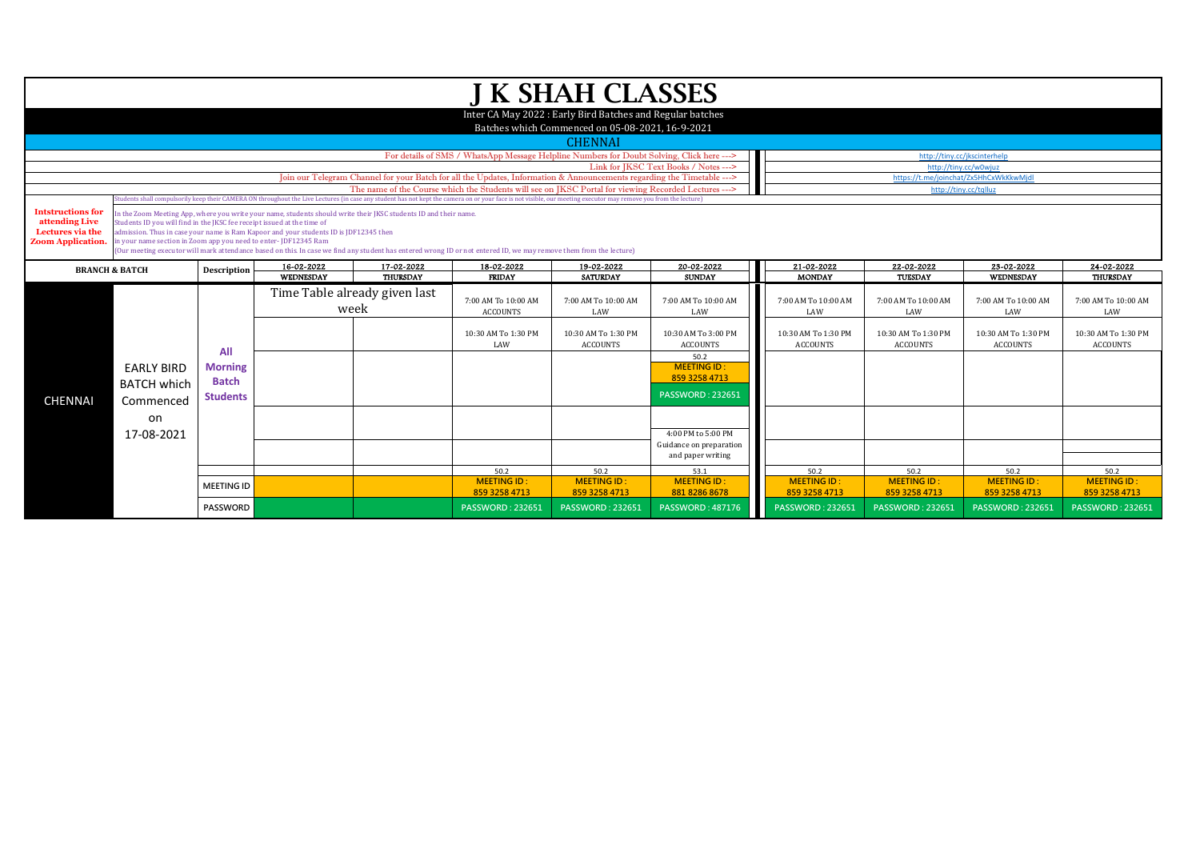|                                                                                                                                                                                                                  |                                                                                                                                                                                                                                                                                                                                                                                                                                                                                                                                |                                                   |                                                                                                                        |                               |                                                                                                      | J K SHAH CLASSES                                                                                              |                                                                        |                                        |                                        |                                        |                                        |
|------------------------------------------------------------------------------------------------------------------------------------------------------------------------------------------------------------------|--------------------------------------------------------------------------------------------------------------------------------------------------------------------------------------------------------------------------------------------------------------------------------------------------------------------------------------------------------------------------------------------------------------------------------------------------------------------------------------------------------------------------------|---------------------------------------------------|------------------------------------------------------------------------------------------------------------------------|-------------------------------|------------------------------------------------------------------------------------------------------|---------------------------------------------------------------------------------------------------------------|------------------------------------------------------------------------|----------------------------------------|----------------------------------------|----------------------------------------|----------------------------------------|
|                                                                                                                                                                                                                  |                                                                                                                                                                                                                                                                                                                                                                                                                                                                                                                                |                                                   |                                                                                                                        |                               |                                                                                                      | Inter CA May 2022: Early Bird Batches and Regular batches<br>Batches which Commenced on 05-08-2021, 16-9-2021 |                                                                        |                                        |                                        |                                        |                                        |
|                                                                                                                                                                                                                  |                                                                                                                                                                                                                                                                                                                                                                                                                                                                                                                                |                                                   |                                                                                                                        |                               |                                                                                                      | <b>CHENNAI</b>                                                                                                |                                                                        |                                        |                                        |                                        |                                        |
|                                                                                                                                                                                                                  |                                                                                                                                                                                                                                                                                                                                                                                                                                                                                                                                |                                                   |                                                                                                                        |                               | For details of SMS / WhatsApp Message Helpline Numbers for Doubt Solving, Click here --->            |                                                                                                               |                                                                        |                                        |                                        | http://tiny.cc/jkscinterhelp           |                                        |
|                                                                                                                                                                                                                  |                                                                                                                                                                                                                                                                                                                                                                                                                                                                                                                                |                                                   |                                                                                                                        |                               |                                                                                                      | http://tinv.cc/w0wiuz                                                                                         |                                                                        |                                        |                                        |                                        |                                        |
|                                                                                                                                                                                                                  |                                                                                                                                                                                                                                                                                                                                                                                                                                                                                                                                |                                                   | Join our Telegram Channel for your Batch for all the Updates, Information & Announcements regarding the Timetable ---> |                               | https://t.me/joinchat/Zx5HhCxWkKkwMjdl                                                               |                                                                                                               |                                                                        |                                        |                                        |                                        |                                        |
|                                                                                                                                                                                                                  |                                                                                                                                                                                                                                                                                                                                                                                                                                                                                                                                |                                                   |                                                                                                                        |                               | The name of the Course which the Students will see on JKSC Portal for viewing Recorded Lectures ---> |                                                                                                               |                                                                        |                                        | http://tiny.cc/tqlluz                  |                                        |                                        |
| (tudents shall compulsorily keep their CAMERA ON throughout the Live Lectures (in case any student has not kept the camera on or your face is not visible, our meeting executor may remove you from the lecture) |                                                                                                                                                                                                                                                                                                                                                                                                                                                                                                                                |                                                   |                                                                                                                        |                               |                                                                                                      |                                                                                                               |                                                                        |                                        |                                        |                                        |                                        |
| <b>Intstructions for</b><br>attending Live<br>Lectures via the<br><b>Zoom Application.</b>                                                                                                                       | In the Zoom Meeting App, where you write your name, students should write their JKSC students ID and their name.<br>Students ID you will find in the JKSC fee receipt issued at the time of<br>admission. Thus in case your name is Ram Kapoor and your students ID is JDF12345 then<br>in your name section in Zoom app you need to enter- JDF12345 Ram<br>(Our meeting executor will mark attendance based on this. In case we find any student has entered wrong ID or not entered ID, we may remove them from the lecture) |                                                   |                                                                                                                        |                               |                                                                                                      |                                                                                                               |                                                                        |                                        |                                        |                                        |                                        |
| <b>BRANCH &amp; BATCH</b>                                                                                                                                                                                        |                                                                                                                                                                                                                                                                                                                                                                                                                                                                                                                                | Description                                       | 16-02-2022                                                                                                             | 21-02-2022                    | 22-02-2022                                                                                           | 23-02-2022                                                                                                    | 24-02-2022                                                             |                                        |                                        |                                        |                                        |
|                                                                                                                                                                                                                  |                                                                                                                                                                                                                                                                                                                                                                                                                                                                                                                                |                                                   | WEDNESDAY                                                                                                              | THURSDAY                      | <b>FRIDAY</b>                                                                                        | <b>SATURDAY</b>                                                                                               | <b>SUNDAY</b>                                                          | <b>MONDAY</b>                          | TUESDAY                                | WEDNESDAY                              | <b>THURSDAY</b>                        |
|                                                                                                                                                                                                                  |                                                                                                                                                                                                                                                                                                                                                                                                                                                                                                                                |                                                   | week                                                                                                                   | Time Table already given last | 7:00 AM To 10:00 AM<br><b>ACCOUNTS</b>                                                               | 7:00 AM To 10:00 AM<br>LAW                                                                                    | 7:00 AM To 10:00 AM<br>LAW                                             | 7:00 AM To 10:00 AM<br>LAW             | 7:00 AM To 10:00 AM<br>LAW             | 7:00 AM To 10:00 AM<br>LAW             | 7:00 AM To 10:00 AM<br>LAW             |
|                                                                                                                                                                                                                  |                                                                                                                                                                                                                                                                                                                                                                                                                                                                                                                                | All                                               |                                                                                                                        |                               | 10:30 AM To 1:30 PM<br>LAW                                                                           | 10:30 AM To 1:30 PM<br><b>ACCOUNTS</b>                                                                        | 10:30 AM To 3:00 PM<br><b>ACCOUNTS</b>                                 | 10:30 AM To 1:30 PM<br><b>ACCOUNTS</b> | 10:30 AM To 1:30 PM<br><b>ACCOUNTS</b> | 10:30 AM To 1:30 PM<br><b>ACCOUNTS</b> | 10:30 AM To 1:30 PM<br><b>ACCOUNTS</b> |
|                                                                                                                                                                                                                  | <b>EARLY BIRD</b><br><b>BATCH which</b>                                                                                                                                                                                                                                                                                                                                                                                                                                                                                        | <b>Morning</b><br><b>Batch</b><br><b>Students</b> |                                                                                                                        |                               |                                                                                                      |                                                                                                               | 50.2<br><b>MEETING ID:</b><br>859 3258 4713<br><b>PASSWORD: 232651</b> |                                        |                                        |                                        |                                        |
| <b>CHENNAI</b>                                                                                                                                                                                                   | Commenced<br>on                                                                                                                                                                                                                                                                                                                                                                                                                                                                                                                |                                                   |                                                                                                                        |                               |                                                                                                      |                                                                                                               |                                                                        |                                        |                                        |                                        |                                        |
|                                                                                                                                                                                                                  | 17-08-2021                                                                                                                                                                                                                                                                                                                                                                                                                                                                                                                     |                                                   |                                                                                                                        |                               |                                                                                                      |                                                                                                               | 4:00 PM to 5:00 PM                                                     |                                        |                                        |                                        |                                        |
|                                                                                                                                                                                                                  |                                                                                                                                                                                                                                                                                                                                                                                                                                                                                                                                |                                                   |                                                                                                                        |                               |                                                                                                      |                                                                                                               | Guidance on preparation<br>and paper writing                           |                                        |                                        |                                        |                                        |
|                                                                                                                                                                                                                  |                                                                                                                                                                                                                                                                                                                                                                                                                                                                                                                                |                                                   |                                                                                                                        |                               | 50.2                                                                                                 | 50.2                                                                                                          | 53.1                                                                   | 50.2                                   | 50.2                                   | 50.2                                   | 50.2                                   |
|                                                                                                                                                                                                                  |                                                                                                                                                                                                                                                                                                                                                                                                                                                                                                                                | <b>MEETING ID</b>                                 |                                                                                                                        |                               | <b>MEETING ID:</b><br>859 3258 4713                                                                  | <b>MEETING ID:</b><br>859 3258 4713                                                                           | <b>MEETING ID:</b><br>881 8286 8678                                    | <b>MEETING ID:</b><br>859 3258 4713    | <b>MEETING ID:</b><br>859 3258 4713    | <b>MEETING ID:</b><br>859 3258 4713    | <b>MEETING ID:</b><br>859 3258 4713    |
|                                                                                                                                                                                                                  |                                                                                                                                                                                                                                                                                                                                                                                                                                                                                                                                | <b>PASSWORD</b>                                   |                                                                                                                        |                               | <b>PASSWORD: 232651</b>                                                                              | <b>PASSWORD: 232651</b>                                                                                       | <b>PASSWORD: 487176</b>                                                | <b>PASSWORD: 232651</b>                | <b>PASSWORD: 232651</b>                | <b>PASSWORD: 232651</b>                | <b>PASSWORD: 232651</b>                |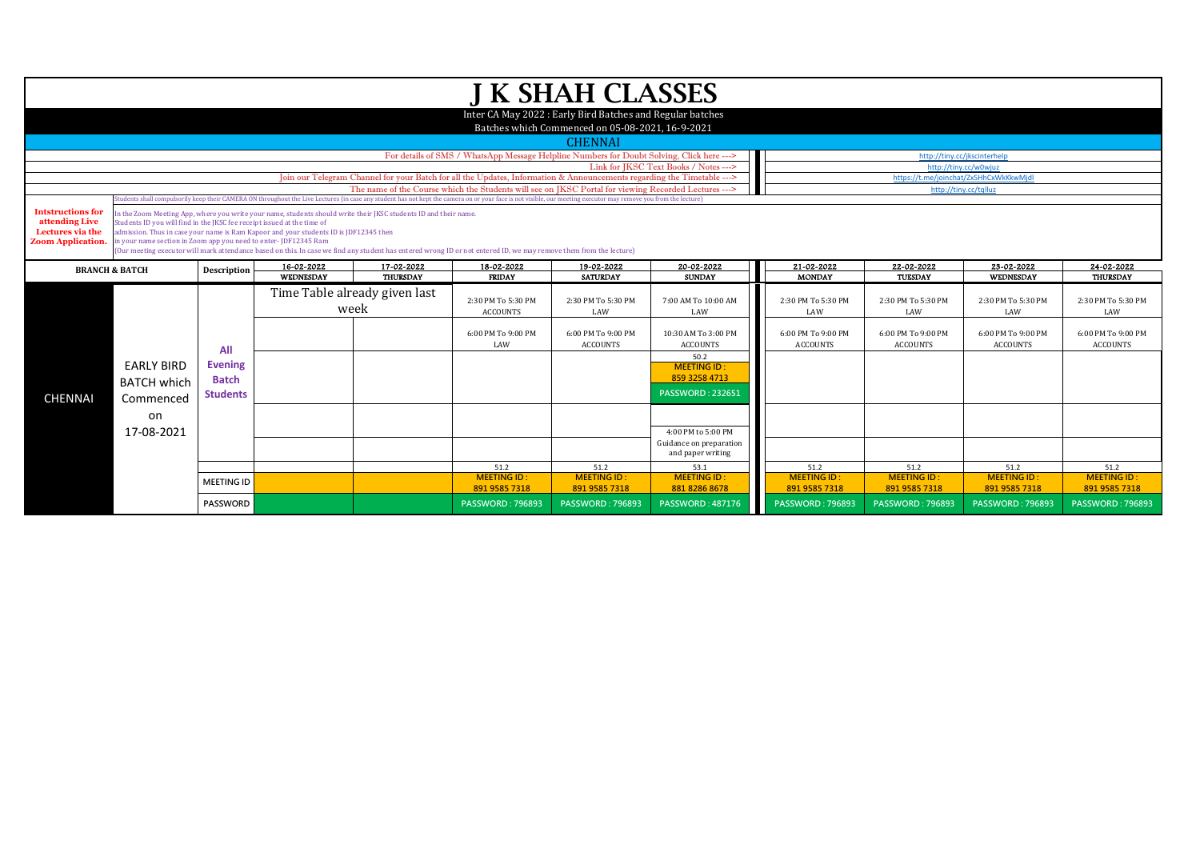|                                                                                                  |                                                                                                                                                                                                                                                                                                                                                                                                                                                                                                                               |                   |           |                                       |                                                                                                                                                                                                                  | <b>J K SHAH CLASSES</b>                                    |                                        |                                       |                                       |                                       |                                       |  |  |
|--------------------------------------------------------------------------------------------------|-------------------------------------------------------------------------------------------------------------------------------------------------------------------------------------------------------------------------------------------------------------------------------------------------------------------------------------------------------------------------------------------------------------------------------------------------------------------------------------------------------------------------------|-------------------|-----------|---------------------------------------|------------------------------------------------------------------------------------------------------------------------------------------------------------------------------------------------------------------|------------------------------------------------------------|----------------------------------------|---------------------------------------|---------------------------------------|---------------------------------------|---------------------------------------|--|--|
|                                                                                                  |                                                                                                                                                                                                                                                                                                                                                                                                                                                                                                                               |                   |           |                                       |                                                                                                                                                                                                                  | Inter CA May 2022 : Early Bird Batches and Regular batches |                                        |                                       |                                       |                                       |                                       |  |  |
|                                                                                                  |                                                                                                                                                                                                                                                                                                                                                                                                                                                                                                                               |                   |           |                                       |                                                                                                                                                                                                                  | Batches which Commenced on 05-08-2021, 16-9-2021           |                                        |                                       |                                       |                                       |                                       |  |  |
|                                                                                                  |                                                                                                                                                                                                                                                                                                                                                                                                                                                                                                                               |                   |           |                                       |                                                                                                                                                                                                                  | <b>CHENNAI</b>                                             |                                        |                                       |                                       |                                       |                                       |  |  |
|                                                                                                  |                                                                                                                                                                                                                                                                                                                                                                                                                                                                                                                               |                   |           |                                       | For details of SMS / WhatsApp Message Helpline Numbers for Doubt Solving, Click here --->                                                                                                                        |                                                            |                                        |                                       | http://tiny.cc/jkscinterhelp          |                                       |                                       |  |  |
|                                                                                                  | Link for IKSC Text Books / Notes ---><br>http://tiny.cc/w0wiuz<br>Join our Telegram Channel for your Batch for all the Updates, Information & Announcements regarding the Timetable ---><br>https://t.me/ioinchat/Zx5HhCxWkKkwMidl                                                                                                                                                                                                                                                                                            |                   |           |                                       |                                                                                                                                                                                                                  |                                                            |                                        |                                       |                                       |                                       |                                       |  |  |
|                                                                                                  |                                                                                                                                                                                                                                                                                                                                                                                                                                                                                                                               |                   |           |                                       |                                                                                                                                                                                                                  |                                                            |                                        |                                       |                                       |                                       |                                       |  |  |
|                                                                                                  |                                                                                                                                                                                                                                                                                                                                                                                                                                                                                                                               |                   |           |                                       | The name of the Course which the Students will see on IKSC Portal for viewing Recorded Lectures --->                                                                                                             |                                                            |                                        |                                       | http://tiny.cc/tqlluz                 |                                       |                                       |  |  |
|                                                                                                  |                                                                                                                                                                                                                                                                                                                                                                                                                                                                                                                               |                   |           |                                       | (tudents shall compulsorily keep their CAMERA ON throughout the Live Lectures (in case any student has not kept the camera on or your face is not visible, our meeting executor may remove you from the lecture) |                                                            |                                        |                                       |                                       |                                       |                                       |  |  |
| <b>Intstructions for</b><br>attending Live<br>Lectures via the<br><b>Zoom Application.</b>       | In the Zoom Meeting App, where you write your name, students should write their JKSC students ID and their name.<br>Students ID you will find in the JKSC fee receipt issued at the time of<br>admission. Thus in case your name is Ram Kapoor and your students ID is JDF12345 then<br>in your name section in Zoom app you need to enter-JDF12345 Ram<br>(Our meeting executor will mark attendance based on this. In case we find any student has entered wrong ID or not entered ID, we may remove them from the lecture) |                   |           |                                       |                                                                                                                                                                                                                  |                                                            |                                        |                                       |                                       |                                       |                                       |  |  |
| 16-02-2022<br>17-02-2022<br>18-02-2022<br>19-02-2022<br>Description<br><b>BRANCH &amp; BATCH</b> |                                                                                                                                                                                                                                                                                                                                                                                                                                                                                                                               |                   |           |                                       |                                                                                                                                                                                                                  |                                                            | 20-02-2022                             | 21-02-2022                            | 22-02-2022                            | 23-02-2022                            | 24-02-2022                            |  |  |
|                                                                                                  |                                                                                                                                                                                                                                                                                                                                                                                                                                                                                                                               |                   | WEDNESDAY | THURSDAY                              | <b>FRIDAY</b>                                                                                                                                                                                                    | <b>SATURDAY</b>                                            | <b>SUNDAY</b>                          | <b>MONDAY</b>                         | TUESDAY                               | WEDNESDAY                             | <b>THURSDAY</b>                       |  |  |
|                                                                                                  |                                                                                                                                                                                                                                                                                                                                                                                                                                                                                                                               |                   |           | Time Table already given last<br>week | 2:30 PM To 5:30 PM<br><b>ACCOUNTS</b>                                                                                                                                                                            | 2:30 PM To 5:30 PM<br>LAW                                  | 7:00 AM To 10:00 AM<br>LAW             | 2:30 PM To 5:30 PM<br>LAW             | 2:30 PM To 5:30 PM<br>LAW             | 2:30 PM To 5:30 PM<br>LAW             | 2:30 PM To 5:30 PM<br>LAW             |  |  |
|                                                                                                  |                                                                                                                                                                                                                                                                                                                                                                                                                                                                                                                               | All               |           |                                       | 6:00 PM To 9:00 PM<br>LAW                                                                                                                                                                                        | 6:00 PM To 9:00 PM<br><b>ACCOUNTS</b>                      | 10:30 AM To 3:00 PM<br><b>ACCOUNTS</b> | 6:00 PM To 9:00 PM<br><b>ACCOUNTS</b> | 6:00 PM To 9:00 PM<br><b>ACCOUNTS</b> | 6:00 PM To 9:00 PM<br><b>ACCOUNTS</b> | 6:00 PM To 9:00 PM<br><b>ACCOUNTS</b> |  |  |
|                                                                                                  |                                                                                                                                                                                                                                                                                                                                                                                                                                                                                                                               |                   |           |                                       |                                                                                                                                                                                                                  |                                                            | 50.2                                   |                                       |                                       |                                       |                                       |  |  |
|                                                                                                  | <b>EARLY BIRD</b>                                                                                                                                                                                                                                                                                                                                                                                                                                                                                                             | <b>Evening</b>    |           |                                       |                                                                                                                                                                                                                  |                                                            | <b>MEETING ID:</b>                     |                                       |                                       |                                       |                                       |  |  |
|                                                                                                  | <b>BATCH which</b>                                                                                                                                                                                                                                                                                                                                                                                                                                                                                                            | <b>Batch</b>      |           |                                       |                                                                                                                                                                                                                  |                                                            | 859 3258 4713                          |                                       |                                       |                                       |                                       |  |  |
| <b>CHENNAI</b>                                                                                   | Commenced                                                                                                                                                                                                                                                                                                                                                                                                                                                                                                                     | <b>Students</b>   |           |                                       |                                                                                                                                                                                                                  |                                                            | <b>PASSWORD: 232651</b>                |                                       |                                       |                                       |                                       |  |  |
|                                                                                                  |                                                                                                                                                                                                                                                                                                                                                                                                                                                                                                                               |                   |           |                                       |                                                                                                                                                                                                                  |                                                            |                                        |                                       |                                       |                                       |                                       |  |  |
|                                                                                                  | on                                                                                                                                                                                                                                                                                                                                                                                                                                                                                                                            |                   |           |                                       |                                                                                                                                                                                                                  |                                                            |                                        |                                       |                                       |                                       |                                       |  |  |
|                                                                                                  | 17-08-2021                                                                                                                                                                                                                                                                                                                                                                                                                                                                                                                    |                   |           |                                       |                                                                                                                                                                                                                  |                                                            | 4:00 PM to 5:00 PM                     |                                       |                                       |                                       |                                       |  |  |
|                                                                                                  |                                                                                                                                                                                                                                                                                                                                                                                                                                                                                                                               |                   |           |                                       |                                                                                                                                                                                                                  |                                                            | Guidance on preparation                |                                       |                                       |                                       |                                       |  |  |
|                                                                                                  |                                                                                                                                                                                                                                                                                                                                                                                                                                                                                                                               |                   |           |                                       |                                                                                                                                                                                                                  |                                                            | and paper writing                      |                                       |                                       |                                       |                                       |  |  |
|                                                                                                  |                                                                                                                                                                                                                                                                                                                                                                                                                                                                                                                               |                   |           |                                       | 51.2                                                                                                                                                                                                             | 51.2                                                       | 53.1                                   | 51.2                                  | 51.2                                  | 51.2                                  | 51.2                                  |  |  |
|                                                                                                  |                                                                                                                                                                                                                                                                                                                                                                                                                                                                                                                               | <b>MEETING ID</b> |           |                                       | <b>MEETING ID:</b><br>891 9585 7318                                                                                                                                                                              | <b>MEETING ID:</b><br>891 9585 7318                        | <b>MEETING ID:</b><br>881 8286 8678    | <b>MEETING ID:</b><br>891 9585 7318   | <b>MEETING ID:</b><br>891 9585 7318   | <b>MEETING ID:</b><br>891 9585 7318   | <b>MEETING ID:</b><br>891 9585 7318   |  |  |
|                                                                                                  |                                                                                                                                                                                                                                                                                                                                                                                                                                                                                                                               |                   |           |                                       |                                                                                                                                                                                                                  |                                                            |                                        |                                       |                                       |                                       |                                       |  |  |
|                                                                                                  |                                                                                                                                                                                                                                                                                                                                                                                                                                                                                                                               | <b>PASSWORD</b>   |           |                                       | <b>PASSWORD: 796893</b>                                                                                                                                                                                          | <b>PASSWORD: 796893</b>                                    | <b>PASSWORD: 487176</b>                | <b>PASSWORD: 796893</b>               | <b>PASSWORD: 796893</b>               | <b>PASSWORD: 796893</b>               | <b>PASSWORD: 796893</b>               |  |  |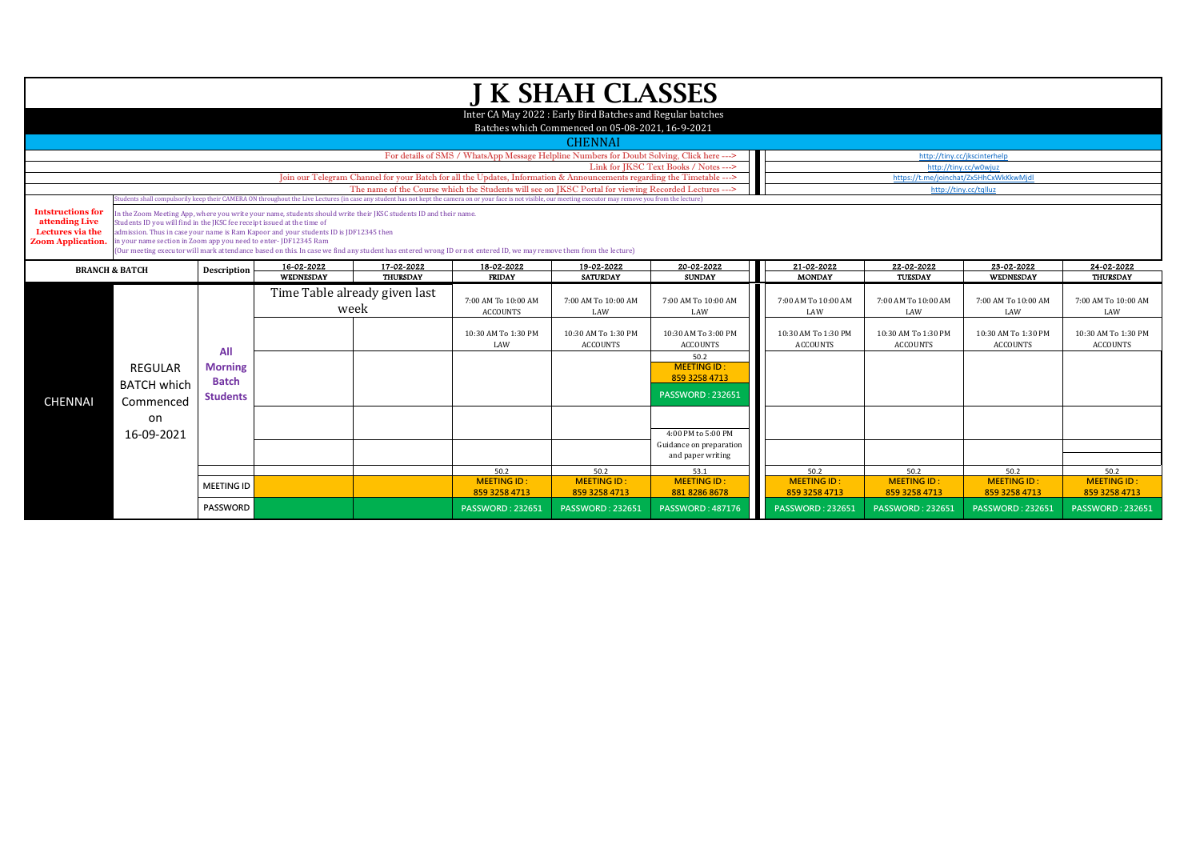|                                                                |                                                                                                                                                                                                                                                                                                                                                                                                                                                                                                                                                                                                                                         |                                                          |  |                                       | For details of SMS / WhatsApp Message Helpline Numbers for Doubt Solving, Click here ---><br>Join our Telegram Channel for your Batch for all the Updates, Information & Announcements regarding the Timetable ---> | <b>J K SHAH CLASSES</b><br>Inter CA May 2022 : Early Bird Batches and Regular batches<br>Batches which Commenced on 05-08-2021, 16-9-2021<br><b>CHENNAI</b> | Link for IKSC Text Books / Notes --->                                                     |                                                   | http://tiny.cc/jkscinterhelp<br>http://tinv.cc/w0wiuz | https://t.me/joinchat/Zx5HhCxWkKkwMjdl            |                                                   |
|----------------------------------------------------------------|-----------------------------------------------------------------------------------------------------------------------------------------------------------------------------------------------------------------------------------------------------------------------------------------------------------------------------------------------------------------------------------------------------------------------------------------------------------------------------------------------------------------------------------------------------------------------------------------------------------------------------------------|----------------------------------------------------------|--|---------------------------------------|---------------------------------------------------------------------------------------------------------------------------------------------------------------------------------------------------------------------|-------------------------------------------------------------------------------------------------------------------------------------------------------------|-------------------------------------------------------------------------------------------|---------------------------------------------------|-------------------------------------------------------|---------------------------------------------------|---------------------------------------------------|
| <b>Intstructions for</b><br>attending Live<br>Lectures via the | The name of the Course which the Students will see on IKSC Portal for viewing Recorded Lectures ---><br>http://tiny.cc/tqlluz<br>udents shall compulsorily keep their CAMERA ON throughout the Live Lectures (in case any student has not kept the camera on or your face is not visible, our meeting executor may remove you from the lecture)<br>In the Zoom Meeting App, where you write your name, students should write their JKSC students ID and their name.<br>Students ID you will find in the JKSC fee receipt issued at the time of<br>admission. Thus in case your name is Ram Kapoor and your students ID is JDF12345 then |                                                          |  |                                       |                                                                                                                                                                                                                     |                                                                                                                                                             |                                                                                           |                                                   |                                                       |                                                   |                                                   |
| <b>Zoom Application</b>                                        | in your name section in Zoom app you need to enter- JDF12345 Ram<br>Our meeting executor will mark attendance based on this. In case we find any student has entered wrong ID or not entered ID, we may remove them from the lecture)<br>16-02-2022<br>17-02-2022<br>18-02-2022<br>21-02-2022<br>19-02-2022<br>20-02-2022<br><b>BRANCH &amp; BATCH</b><br>Description<br>WEDNESDAY<br>THURSDAY<br><b>MONDAY</b><br><b>FRIDAY</b><br><b>SATURDAY</b><br><b>SUNDAY</b>                                                                                                                                                                    |                                                          |  |                                       |                                                                                                                                                                                                                     |                                                                                                                                                             |                                                                                           |                                                   |                                                       | 23-02-2022<br>WEDNESDAY                           | 24-02-2022<br>THURSDAY                            |
|                                                                |                                                                                                                                                                                                                                                                                                                                                                                                                                                                                                                                                                                                                                         | All<br><b>Morning</b><br><b>Batch</b><br><b>Students</b> |  | Time Table already given last<br>week | 7:00 AM To 10:00 AM<br><b>ACCOUNTS</b><br>10:30 AM To 1:30 PM                                                                                                                                                       | 7:00 AM To 10:00 AM<br>LAW<br>10:30 AM To 1:30 PM                                                                                                           | 7:00 AM To 10:00 AM<br>LAW<br>10:30 AM To 3:00 PM                                         | 7:00 AM To 10:00 AM<br>LAW<br>10:30 AM To 1:30 PM | 7:00 AM To 10:00 AM<br>LAW<br>10:30 AM To 1:30 PM     | 7:00 AM To 10:00 AM<br>LAW<br>10:30 AM To 1:30 PM | 7:00 AM To 10:00 AM<br>LAW<br>10:30 AM To 1:30 PM |
| <b>CHENNAI</b>                                                 | <b>REGULAR</b><br><b>BATCH which</b><br>Commenced                                                                                                                                                                                                                                                                                                                                                                                                                                                                                                                                                                                       |                                                          |  |                                       | LAW                                                                                                                                                                                                                 | <b>ACCOUNTS</b>                                                                                                                                             | <b>ACCOUNTS</b><br>50.2<br><b>MEETING ID:</b><br>859 3258 4713<br><b>PASSWORD: 232651</b> | <b>ACCOUNTS</b>                                   | <b>ACCOUNTS</b>                                       | <b>ACCOUNTS</b>                                   | <b>ACCOUNTS</b>                                   |
|                                                                | on<br>16-09-2021                                                                                                                                                                                                                                                                                                                                                                                                                                                                                                                                                                                                                        |                                                          |  |                                       |                                                                                                                                                                                                                     |                                                                                                                                                             | 4:00 PM to 5:00 PM<br>Guidance on preparation<br>and paper writing                        |                                                   |                                                       |                                                   |                                                   |
|                                                                |                                                                                                                                                                                                                                                                                                                                                                                                                                                                                                                                                                                                                                         | <b>MEETING ID</b>                                        |  |                                       | 50.2<br><b>MEETING ID:</b><br>859 3258 4713                                                                                                                                                                         | 50.2<br><b>MEETING ID:</b><br>859 3258 4713                                                                                                                 | 53.1<br><b>MEETING ID:</b><br>881 8286 8678                                               | 50.2<br><b>MEETING ID:</b><br>859 3258 4713       | 50.2<br><b>MEETING ID:</b><br>859 3258 4713           | 50.2<br><b>MEETING ID:</b><br>859 3258 4713       | 50.2<br><b>MEETING ID</b><br>859 3258 4713        |
|                                                                |                                                                                                                                                                                                                                                                                                                                                                                                                                                                                                                                                                                                                                         | <b>PASSWORD</b>                                          |  |                                       | <b>PASSWORD: 232651</b>                                                                                                                                                                                             | <b>PASSWORD: 232651</b>                                                                                                                                     | <b>PASSWORD: 487176</b>                                                                   | <b>PASSWORD: 232651</b>                           | <b>PASSWORD: 232651</b>                               | <b>PASSWORD: 232651</b>                           | <b>PASSWORD: 232651</b>                           |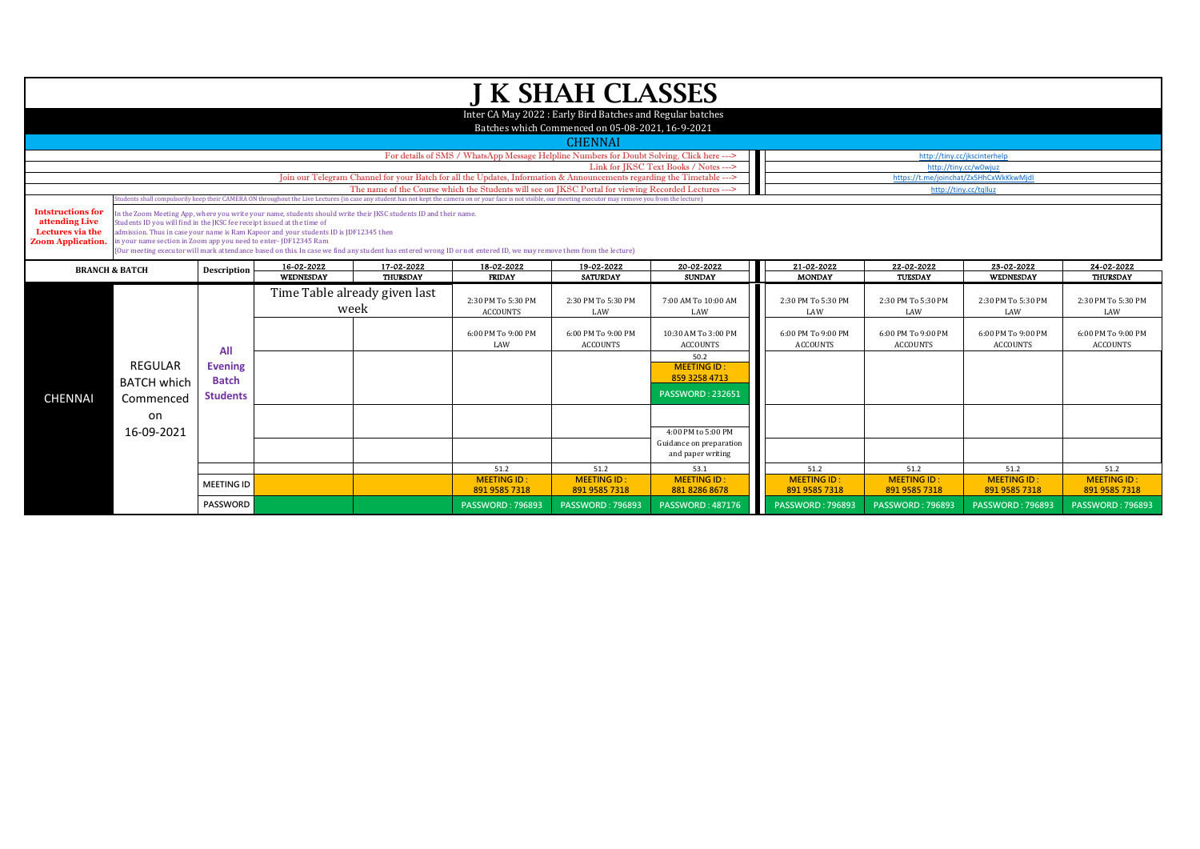|                                                                                            |                                                                                                                                                                                                                                                                                                                                                                                                                                                                                                                                                                                                                                                                                                                                                  |                   |  |                                       |                                                                                                                                                                                                                                | <b>J K SHAH CLASSES</b>                                                                                        |                                              |                                       |                                                                 |                                       |                                       |
|--------------------------------------------------------------------------------------------|--------------------------------------------------------------------------------------------------------------------------------------------------------------------------------------------------------------------------------------------------------------------------------------------------------------------------------------------------------------------------------------------------------------------------------------------------------------------------------------------------------------------------------------------------------------------------------------------------------------------------------------------------------------------------------------------------------------------------------------------------|-------------------|--|---------------------------------------|--------------------------------------------------------------------------------------------------------------------------------------------------------------------------------------------------------------------------------|----------------------------------------------------------------------------------------------------------------|----------------------------------------------|---------------------------------------|-----------------------------------------------------------------|---------------------------------------|---------------------------------------|
|                                                                                            |                                                                                                                                                                                                                                                                                                                                                                                                                                                                                                                                                                                                                                                                                                                                                  |                   |  |                                       |                                                                                                                                                                                                                                | Inter CA May 2022 : Early Bird Batches and Regular batches<br>Batches which Commenced on 05-08-2021, 16-9-2021 |                                              |                                       |                                                                 |                                       |                                       |
|                                                                                            |                                                                                                                                                                                                                                                                                                                                                                                                                                                                                                                                                                                                                                                                                                                                                  |                   |  |                                       |                                                                                                                                                                                                                                | <b>CHENNAI</b>                                                                                                 |                                              |                                       |                                                                 |                                       |                                       |
|                                                                                            |                                                                                                                                                                                                                                                                                                                                                                                                                                                                                                                                                                                                                                                                                                                                                  |                   |  |                                       | For details of SMS / WhatsApp Message Helpline Numbers for Doubt Solving, Click here --->                                                                                                                                      |                                                                                                                |                                              |                                       | http://tiny.cc/jkscinterhelp                                    |                                       |                                       |
|                                                                                            |                                                                                                                                                                                                                                                                                                                                                                                                                                                                                                                                                                                                                                                                                                                                                  |                   |  |                                       | Link for IKSC Text Books / Notes --->                                                                                                                                                                                          |                                                                                                                | http://tiny.cc/w0wiuz                        |                                       |                                                                 |                                       |                                       |
|                                                                                            |                                                                                                                                                                                                                                                                                                                                                                                                                                                                                                                                                                                                                                                                                                                                                  |                   |  |                                       | Join our Telegram Channel for your Batch for all the Updates, Information & Announcements regarding the Timetable ---><br>The name of the Course which the Students will see on IKSC Portal for viewing Recorded Lectures ---> |                                                                                                                |                                              |                                       | https://t.me/joinchat/Zx5HhCxWkKkwMjdl<br>http://tiny.cc/tqlluz |                                       |                                       |
|                                                                                            |                                                                                                                                                                                                                                                                                                                                                                                                                                                                                                                                                                                                                                                                                                                                                  |                   |  |                                       |                                                                                                                                                                                                                                |                                                                                                                |                                              |                                       |                                                                 |                                       |                                       |
| <b>Intstructions for</b><br>attending Live<br>Lectures via the<br><b>Zoom Application.</b> | tudents shall compulsorily keep their CAMERA ON throughout the Live Lectures (in case any student has not kept the camera on or your face is not visible, our meeting executor may remove you from the lecture)<br>In the Zoom Meeting App, where you write your name, students should write their JKSC students ID and their name.<br>Students ID you will find in the JKSC fee receipt issued at the time of<br>dmission. Thus in case your name is Ram Kapoor and your students ID is JDF12345 then<br>in your name section in Zoom app you need to enter- JDF12345 Ram<br>(Our meeting executor will mark attendance based on this. In case we find any student has entered wrong ID or not entered ID, we may remove them from the lecture) |                   |  |                                       |                                                                                                                                                                                                                                |                                                                                                                |                                              |                                       |                                                                 |                                       |                                       |
|                                                                                            | 16-02-2022<br>17-02-2022<br>18-02-2022<br>19-02-2022<br>20-02-2022<br>Description<br><b>BRANCH &amp; BATCH</b><br><b>THURSDAY</b><br>WEDNESDAY<br><b>FRIDAY</b><br><b>SATURDAY</b><br><b>SUNDAY</b>                                                                                                                                                                                                                                                                                                                                                                                                                                                                                                                                              |                   |  |                                       |                                                                                                                                                                                                                                |                                                                                                                |                                              | 21-02-2022<br><b>MONDAY</b>           | 22-02-2022                                                      | 23-02-2022<br>WEDNESDAY               | 24-02-2022<br><b>THURSDAY</b>         |
|                                                                                            |                                                                                                                                                                                                                                                                                                                                                                                                                                                                                                                                                                                                                                                                                                                                                  |                   |  |                                       |                                                                                                                                                                                                                                |                                                                                                                |                                              |                                       | <b>TUESDAY</b>                                                  |                                       |                                       |
|                                                                                            |                                                                                                                                                                                                                                                                                                                                                                                                                                                                                                                                                                                                                                                                                                                                                  |                   |  | Time Table already given last<br>week | 2:30 PM To 5:30 PM<br><b>ACCOUNTS</b>                                                                                                                                                                                          | 2:30 PM To 5:30 PM<br>LAW                                                                                      | 7:00 AM To 10:00 AM<br>LAW                   | 2:30 PM To 5:30 PM<br>LAW             | 2:30 PM To 5:30 PM<br>LAW                                       | 2:30 PM To 5:30 PM<br>LAW             | 2:30 PM To 5:30 PM<br>LAW             |
|                                                                                            |                                                                                                                                                                                                                                                                                                                                                                                                                                                                                                                                                                                                                                                                                                                                                  | All               |  |                                       | 6:00 PM To 9:00 PM<br>LAW                                                                                                                                                                                                      | 6:00 PM To 9:00 PM<br><b>ACCOUNTS</b>                                                                          | 10:30 AM To 3:00 PM<br><b>ACCOUNTS</b>       | 6:00 PM To 9:00 PM<br><b>ACCOUNTS</b> | 6:00 PM To 9:00 PM<br><b>ACCOUNTS</b>                           | 6:00 PM To 9:00 PM<br><b>ACCOUNTS</b> | 6:00 PM To 9:00 PM<br><b>ACCOUNTS</b> |
|                                                                                            | <b>REGULAR</b>                                                                                                                                                                                                                                                                                                                                                                                                                                                                                                                                                                                                                                                                                                                                   | <b>Evening</b>    |  |                                       |                                                                                                                                                                                                                                |                                                                                                                | 50.2<br><b>MEETING ID:</b>                   |                                       |                                                                 |                                       |                                       |
|                                                                                            | <b>BATCH which</b>                                                                                                                                                                                                                                                                                                                                                                                                                                                                                                                                                                                                                                                                                                                               | <b>Batch</b>      |  |                                       |                                                                                                                                                                                                                                |                                                                                                                | 859 3258 4713                                |                                       |                                                                 |                                       |                                       |
| <b>CHENNAI</b>                                                                             | Commenced                                                                                                                                                                                                                                                                                                                                                                                                                                                                                                                                                                                                                                                                                                                                        | <b>Students</b>   |  |                                       |                                                                                                                                                                                                                                |                                                                                                                | <b>PASSWORD: 232651</b>                      |                                       |                                                                 |                                       |                                       |
|                                                                                            | on                                                                                                                                                                                                                                                                                                                                                                                                                                                                                                                                                                                                                                                                                                                                               |                   |  |                                       |                                                                                                                                                                                                                                |                                                                                                                |                                              |                                       |                                                                 |                                       |                                       |
|                                                                                            | 16-09-2021                                                                                                                                                                                                                                                                                                                                                                                                                                                                                                                                                                                                                                                                                                                                       |                   |  |                                       |                                                                                                                                                                                                                                |                                                                                                                | 4:00 PM to 5:00 PM                           |                                       |                                                                 |                                       |                                       |
|                                                                                            |                                                                                                                                                                                                                                                                                                                                                                                                                                                                                                                                                                                                                                                                                                                                                  |                   |  |                                       |                                                                                                                                                                                                                                |                                                                                                                | Guidance on preparation<br>and paper writing |                                       |                                                                 |                                       |                                       |
|                                                                                            |                                                                                                                                                                                                                                                                                                                                                                                                                                                                                                                                                                                                                                                                                                                                                  |                   |  |                                       | 51.2                                                                                                                                                                                                                           | 51.2                                                                                                           | 53.1                                         | 51.2                                  | 51.2                                                            | 51.2                                  | 51.2                                  |
|                                                                                            |                                                                                                                                                                                                                                                                                                                                                                                                                                                                                                                                                                                                                                                                                                                                                  | <b>MEETING ID</b> |  |                                       | <b>MEETING ID:</b><br>891 9585 7318                                                                                                                                                                                            | <b>MEETING ID:</b><br>891 9585 7318                                                                            | <b>MEETING ID:</b><br>881 8286 8678          | <b>MEETING ID:</b><br>891 9585 7318   | <b>MEETING ID:</b><br>891 9585 7318                             | <b>MEETING ID:</b><br>891 9585 7318   | <b>MEETING ID:</b><br>891 9585 7318   |
|                                                                                            |                                                                                                                                                                                                                                                                                                                                                                                                                                                                                                                                                                                                                                                                                                                                                  | PASSWORD          |  |                                       | <b>PASSWORD: 796893</b>                                                                                                                                                                                                        | <b>PASSWORD: 796893</b>                                                                                        | <b>PASSWORD: 487176</b>                      | <b>PASSWORD: 796893</b>               | <b>PASSWORD: 796893</b>                                         | <b>PASSWORD: 796893</b>               | <b>PASSWORD: 796893</b>               |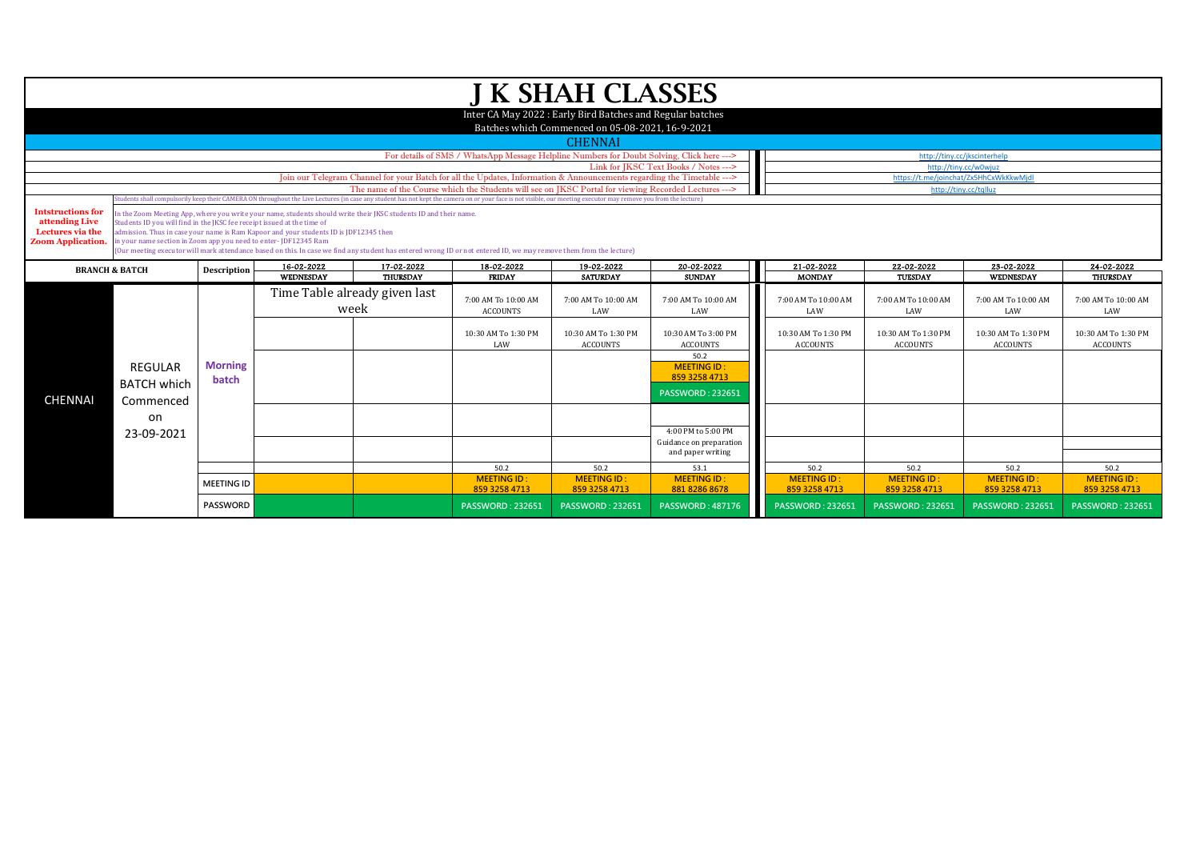|                                                                                           | <b>J K SHAH CLASSES</b><br>Inter CA May 2022: Early Bird Batches and Regular batches                                                                                                                                                                                                                                                                                                                                                                                                                                          |                         |                                                                                                                        |                                       |                                                                                                                                                                                                                 |                                                  |                                                                        |                                        |                                        |                                        |                                        |  |  |  |  |
|-------------------------------------------------------------------------------------------|-------------------------------------------------------------------------------------------------------------------------------------------------------------------------------------------------------------------------------------------------------------------------------------------------------------------------------------------------------------------------------------------------------------------------------------------------------------------------------------------------------------------------------|-------------------------|------------------------------------------------------------------------------------------------------------------------|---------------------------------------|-----------------------------------------------------------------------------------------------------------------------------------------------------------------------------------------------------------------|--------------------------------------------------|------------------------------------------------------------------------|----------------------------------------|----------------------------------------|----------------------------------------|----------------------------------------|--|--|--|--|
|                                                                                           |                                                                                                                                                                                                                                                                                                                                                                                                                                                                                                                               |                         |                                                                                                                        |                                       |                                                                                                                                                                                                                 | Batches which Commenced on 05-08-2021, 16-9-2021 |                                                                        |                                        |                                        |                                        |                                        |  |  |  |  |
|                                                                                           |                                                                                                                                                                                                                                                                                                                                                                                                                                                                                                                               |                         |                                                                                                                        |                                       |                                                                                                                                                                                                                 | <b>CHENNAI</b>                                   |                                                                        |                                        |                                        |                                        |                                        |  |  |  |  |
|                                                                                           |                                                                                                                                                                                                                                                                                                                                                                                                                                                                                                                               |                         |                                                                                                                        |                                       | For details of SMS / WhatsApp Message Helpline Numbers for Doubt Solving, Click here --->                                                                                                                       |                                                  |                                                                        |                                        |                                        | http://tiny.cc/jkscinterhelp           |                                        |  |  |  |  |
|                                                                                           |                                                                                                                                                                                                                                                                                                                                                                                                                                                                                                                               |                         |                                                                                                                        |                                       |                                                                                                                                                                                                                 | http://tiny.cc/w0wjuz                            |                                                                        |                                        |                                        |                                        |                                        |  |  |  |  |
|                                                                                           |                                                                                                                                                                                                                                                                                                                                                                                                                                                                                                                               |                         | Join our Telegram Channel for your Batch for all the Updates, Information & Announcements regarding the Timetable ---> |                                       | https://t.me/joinchat/Zx5HhCxWkKkwMjdl                                                                                                                                                                          |                                                  |                                                                        |                                        |                                        |                                        |                                        |  |  |  |  |
|                                                                                           |                                                                                                                                                                                                                                                                                                                                                                                                                                                                                                                               |                         |                                                                                                                        |                                       | The name of the Course which the Students will see on IKSC Portal for viewing Recorded Lectures --->                                                                                                            |                                                  |                                                                        |                                        |                                        | http://tiny.cc/tqlluz                  |                                        |  |  |  |  |
|                                                                                           |                                                                                                                                                                                                                                                                                                                                                                                                                                                                                                                               |                         |                                                                                                                        |                                       | tudents shall compulsorily keep their CAMERA ON throughout the Live Lectures (in case any student has not kept the camera on or your face is not visible, our meeting executor may remove you from the lecture) |                                                  |                                                                        |                                        |                                        |                                        |                                        |  |  |  |  |
| <b>Intstructions for</b><br>attending Live<br>Lectures via the<br><b>Zoom Application</b> | In the Zoom Meeting App, where you write your name, students should write their JKSC students ID and their name.<br>Students ID you will find in the IKSC fee receipt issued at the time of<br>admission. Thus in case your name is Ram Kapoor and your students ID is JDF12345 then<br>in your name section in Zoom app you need to enter-JDF12345 Ram<br>(Our meeting executor will mark attendance based on this. In case we find any student has entered wrong ID or not entered ID, we may remove them from the lecture) |                         |                                                                                                                        |                                       |                                                                                                                                                                                                                 |                                                  |                                                                        |                                        |                                        |                                        |                                        |  |  |  |  |
|                                                                                           | 20-02-2022<br>16-02-2022<br>17-02-2022<br>18-02-2022<br>19-02-2022<br><b>BRANCH &amp; BATCH</b><br>Description                                                                                                                                                                                                                                                                                                                                                                                                                |                         |                                                                                                                        |                                       |                                                                                                                                                                                                                 |                                                  |                                                                        |                                        | 22-02-2022                             | 23-02-2022                             | 24-02-2022                             |  |  |  |  |
|                                                                                           |                                                                                                                                                                                                                                                                                                                                                                                                                                                                                                                               |                         | WEDNESDAY                                                                                                              | THURSDAY                              | <b>FRIDAY</b>                                                                                                                                                                                                   | <b>SATURDAY</b>                                  | <b>SUNDAY</b>                                                          | <b>MONDAY</b>                          | TUESDAY                                | WEDNESDAY                              | THURSDAY                               |  |  |  |  |
|                                                                                           |                                                                                                                                                                                                                                                                                                                                                                                                                                                                                                                               |                         |                                                                                                                        | Time Table already given last<br>week | 7:00 AM To 10:00 AM<br><b>ACCOUNTS</b>                                                                                                                                                                          | 7:00 AM To 10:00 AM<br>LAW                       | 7:00 AM To 10:00 AM<br>LAW                                             | 7:00 AM To 10:00 AM<br>LAW             | 7:00 AM To 10:00 AM<br>LAW             | 7:00 AM To 10:00 AM<br>LAW             | 7:00 AM To 10:00 AM<br>LAW             |  |  |  |  |
|                                                                                           |                                                                                                                                                                                                                                                                                                                                                                                                                                                                                                                               |                         |                                                                                                                        |                                       | 10:30 AM To 1:30 PM<br>LAW                                                                                                                                                                                      | 10:30 AM To 1:30 PM<br><b>ACCOUNTS</b>           | 10:30 AM To 3:00 PM<br><b>ACCOUNTS</b>                                 | 10:30 AM To 1:30 PM<br><b>ACCOUNTS</b> | 10:30 AM To 1:30 PM<br><b>ACCOUNTS</b> | 10:30 AM To 1:30 PM<br><b>ACCOUNTS</b> | 10:30 AM To 1:30 PM<br><b>ACCOUNTS</b> |  |  |  |  |
| <b>CHENNAI</b>                                                                            | REGULAR<br><b>BATCH which</b>                                                                                                                                                                                                                                                                                                                                                                                                                                                                                                 | <b>Morning</b><br>batch |                                                                                                                        |                                       |                                                                                                                                                                                                                 |                                                  | 50.2<br><b>MEETING ID:</b><br>859 3258 4713<br><b>PASSWORD: 232651</b> |                                        |                                        |                                        |                                        |  |  |  |  |
|                                                                                           | on<br>23-09-2021                                                                                                                                                                                                                                                                                                                                                                                                                                                                                                              |                         |                                                                                                                        |                                       |                                                                                                                                                                                                                 |                                                  | 4:00 PM to 5:00 PM                                                     |                                        |                                        |                                        |                                        |  |  |  |  |
|                                                                                           | Commenced                                                                                                                                                                                                                                                                                                                                                                                                                                                                                                                     |                         |                                                                                                                        |                                       |                                                                                                                                                                                                                 |                                                  | Guidance on preparation                                                |                                        |                                        |                                        |                                        |  |  |  |  |
|                                                                                           |                                                                                                                                                                                                                                                                                                                                                                                                                                                                                                                               |                         |                                                                                                                        |                                       |                                                                                                                                                                                                                 |                                                  | and paper writing                                                      |                                        |                                        |                                        |                                        |  |  |  |  |
|                                                                                           |                                                                                                                                                                                                                                                                                                                                                                                                                                                                                                                               |                         |                                                                                                                        |                                       | 50.2                                                                                                                                                                                                            | 50.2                                             | 53.1                                                                   | 50.2                                   | 50.2                                   | 50.2                                   | 50.2                                   |  |  |  |  |
|                                                                                           |                                                                                                                                                                                                                                                                                                                                                                                                                                                                                                                               | <b>MEETING ID</b>       |                                                                                                                        |                                       | <b>MEETING ID:</b><br>859 3258 4713                                                                                                                                                                             | <b>MEETING ID:</b><br>859 3258 4713              | <b>MEETING ID:</b><br>881 8286 8678                                    | <b>MEETING ID:</b><br>859 3258 4713    | <b>MEETING ID:</b><br>859 3258 4713    | <b>MEETING ID:</b><br>859 3258 4713    | <b>MEETING ID:</b><br>859 3258 4713    |  |  |  |  |
|                                                                                           |                                                                                                                                                                                                                                                                                                                                                                                                                                                                                                                               | <b>PASSWORD</b>         |                                                                                                                        |                                       | <b>PASSWORD: 232651</b>                                                                                                                                                                                         | <b>PASSWORD: 232651</b>                          | <b>PASSWORD: 487176</b>                                                | <b>PASSWORD: 232651</b>                | <b>PASSWORD: 232651</b>                | <b>PASSWORD: 232651</b>                | <b>PASSWORD: 232651</b>                |  |  |  |  |